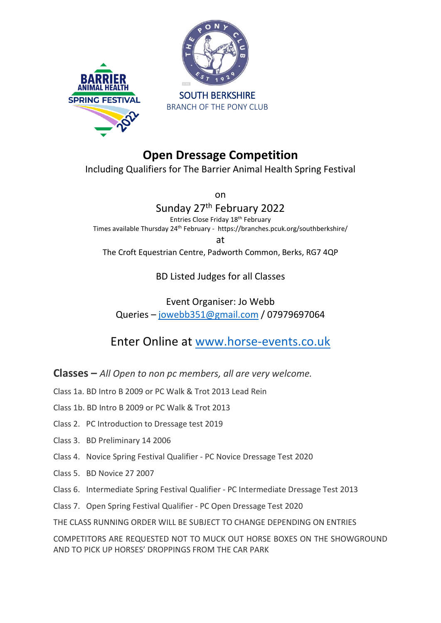



# **Open Dressage Competition**

Including Qualifiers for The Barrier Animal Health Spring Festival

on

## Sunday 27<sup>th</sup> February 2022

Entries Close Friday 18th February Times available Thursday 24<sup>th</sup> February - https://branches.pcuk.org/southberkshire/

at

The Croft Equestrian Centre, Padworth Common, Berks, RG7 4QP

### BD Listed Judges for all Classes

## Event Organiser: Jo Webb Queries – [jowebb351@gmail.com](mailto:jowebb351@gmail.com) / 07979697064

Enter Online at [www.horse-events.co.uk](http://www.horse-events.co.uk/)

**Classes –** *All Open to non pc members, all are very welcome.*

Class 1a. BD Intro B 2009 or PC Walk & Trot 2013 Lead Rein

Class 1b. BD Intro B 2009 or PC Walk & Trot 2013

- Class 2. PC Introduction to Dressage test 2019
- Class 3. BD Preliminary 14 2006
- Class 4. Novice Spring Festival Qualifier PC Novice Dressage Test 2020
- Class 5. BD Novice 27 2007
- Class 6. Intermediate Spring Festival Qualifier PC Intermediate Dressage Test 2013
- Class 7. Open Spring Festival Qualifier PC Open Dressage Test 2020

THE CLASS RUNNING ORDER WILL BE SUBJECT TO CHANGE DEPENDING ON ENTRIES

COMPETITORS ARE REQUESTED NOT TO MUCK OUT HORSE BOXES ON THE SHOWGROUND AND TO PICK UP HORSES' DROPPINGS FROM THE CAR PARK